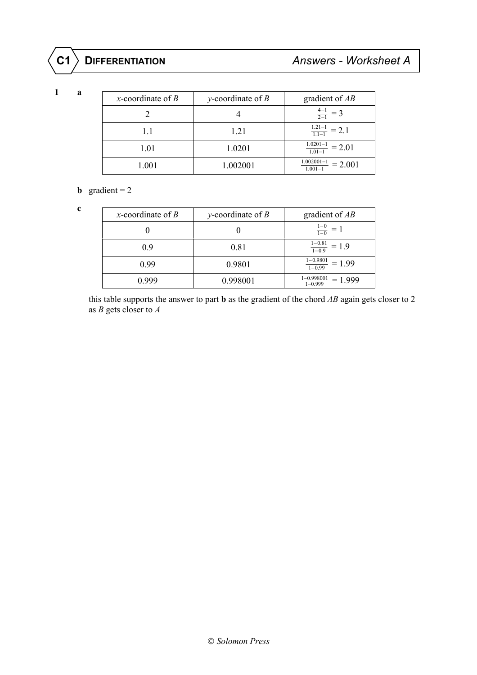**1 a**

| x-coordinate of $B$ | y-coordinate of $B$ | gradient of $AB$                                   |
|---------------------|---------------------|----------------------------------------------------|
|                     |                     | $\frac{4-1}{2-1} = 3$                              |
| 1.1                 | 1.21                | $\frac{1.21-1}{1.1-1} = 2.1$                       |
| 1.01                | 1.0201              | $\frac{1.0201-1}{1.0201} = 2.01$<br>$1.01 - 1$     |
| 1.001               | 1.002001            | $\frac{1.002001-1}{1.0011} = 2.001$<br>$1.001 - 1$ |

# **b** gradient =  $2$

 **c**

| x-coordinate of $B$ | y-coordinate of $B$ | gradient of $AB$                              |
|---------------------|---------------------|-----------------------------------------------|
|                     |                     | $\frac{1-0}{1-0} = 1$                         |
| 0.9                 | 0.81                | $\frac{1-0.81}{1-0.9} = 1.9$                  |
| 0.99                | 0.9801              | $1 - 0.9801$<br>$= 1.99$<br>$1 - 0.99$        |
| N 999               | 0.998001            | $\frac{1-0.998001}{1} = 1.999$<br>$1 - 0.999$ |

 this table supports the answer to part **b** as the gradient of the chord *AB* again gets closer to 2 as *B* gets closer to *A*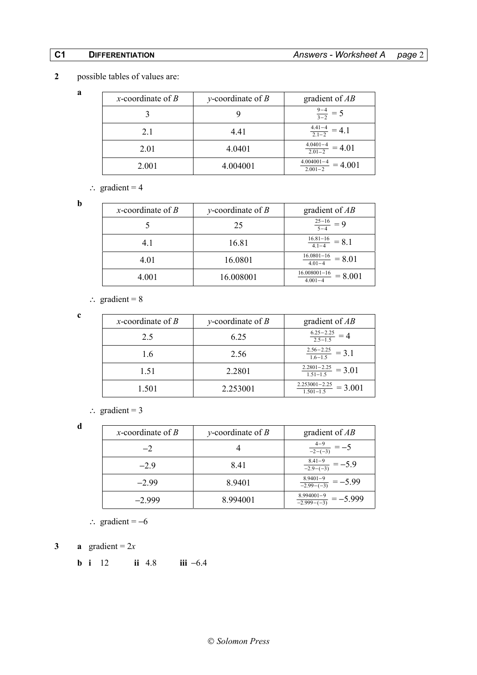# **2** possible tables of values are:

| x-coordinate of $B$ | y-coordinate of $B$ | gradient of $AB$                           |
|---------------------|---------------------|--------------------------------------------|
|                     |                     | $\frac{9-4}{3-2}$                          |
| 2.1                 | 4.41                | $\frac{4.41-4}{2.1-2}$                     |
| 2.01                | 4.0401              | $4.0401 - 4$<br>$= 4.01$<br>$2.01 - 2$     |
| 2.001               | 4.004001            | $4.004001 - 4$<br>$= 4.001$<br>$2.001 - 2$ |

∴ gradient =  $4$ 

 **b**

 **a**

| x-coordinate of $B$ | y-coordinate of $B$ | gradient of $AB$                                |
|---------------------|---------------------|-------------------------------------------------|
|                     | 25                  | $\frac{25-16}{5-4} = 9$                         |
| 4.1                 | 16.81               | $\frac{16.81-16}{1}$ = 8.1<br>$4.1 - 4$         |
| 4.01                | 16.0801             | $\frac{16.0801 - 16}{ } = 8.01$<br>$4.01 - 4$   |
| 4.001               | 16.008001           | $\frac{16.008001-16}{ } = 8.001$<br>$4.001 - 4$ |

∴ gradient =  $8$ 

 **c**

| x-coordinate of $B$ | y-coordinate of $B$ | gradient of $AB$                                |
|---------------------|---------------------|-------------------------------------------------|
| 2.5                 | 6.25                | $6.25 - 2.25$<br>$25 - 1.5$                     |
| 1.6                 | 2.56                | $\frac{2.56-2.25}{1.6-1.5} = 3.1$               |
| 1.51                | 2.2801              | $\frac{2.2801 - 2.25}{1.51 - 1.5} = 3.01$       |
| 1.501               | 2.253001            | $2.253001 - 2.25$<br>$= 3.001$<br>$1.501 - 1.5$ |

 $\therefore$  gradient = 3

 **d**

| x-coordinate of $B$ | y-coordinate of $B$ | gradient of $AB$                                                 |
|---------------------|---------------------|------------------------------------------------------------------|
| $-2$                |                     | $\frac{4-9}{-2-(-3)}$                                            |
| $-29$               | 8.41                | $\frac{8.41-9}{-2.9-(-3)} = -5.9$                                |
| $-299$              | 8.9401              | $8.9401 - 9$<br>$= -5.99$<br>$\frac{-2.99 - (-3)}{-2.99 - (-3)}$ |
| $-2999$             | 8.994001            | 8.994001-9<br>$=-5.999$<br>$-2.999-(-3)$                         |

∴ gradient =  $-6$ 

**3 a** gradient =  $2x$ 

**b i** 12 **ii** 4.8 **iii** −6.4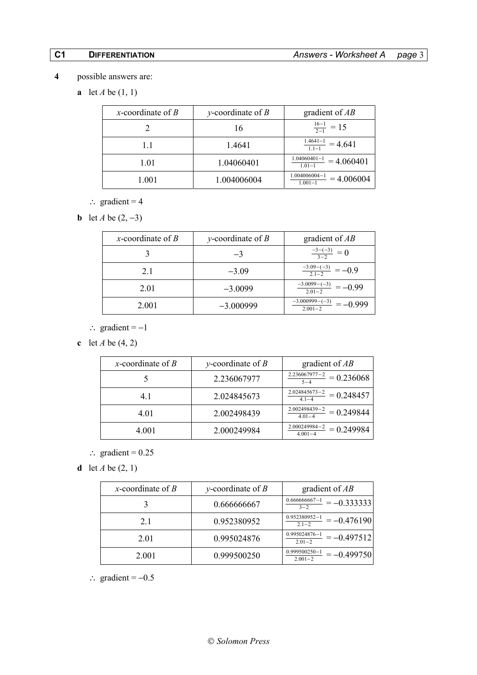- **4** possible answers are:
	- **a** let *A* be (1, 1)

| x-coordinate of $B$ | y-coordinate of $B$ | gradient of $AB$                               |
|---------------------|---------------------|------------------------------------------------|
|                     | 16                  | $\frac{16-1}{2-1}$ = 15                        |
| 1.1                 | 1.4641              | $\frac{1.4641-1}{1} = 4.641$<br>$1.1 - 1$      |
| 1.01                | 1.04060401          | $1.04060401 - 1$<br>$= 4.060401$<br>$1.01 - 1$ |
| 1.001               | 1.004006004         | 1.004006004-1<br>$= 4.006004$<br>$1.001 - 1$   |

- ∴ gradient =  $4$
- **b** let *A* be  $(2, -3)$

| x-coordinate of $B$ | y-coordinate of $B$ | gradient of $AB$                             |
|---------------------|---------------------|----------------------------------------------|
|                     |                     | $\frac{-3-(-3)}{3-2} = 0$                    |
| 2.1                 | $-3.09$             | $\frac{-3.09 - (-3)}{2.1 - 2}$               |
| 2.01                | $-3.0099$           | $-3.0099 - (-3)$<br>$=-(0.99)$<br>$2.01 - 2$ |
| 2.001               | $-3.000999$         | $-3.000999 - (-3)$<br>$2.001 - 2$            |

- ∴ gradient  $= -1$
- **c** let *A* be (4, 2)

| x-coordinate of $B$ | y-coordinate of $B$ | gradient of $AB$                                      |
|---------------------|---------------------|-------------------------------------------------------|
|                     | 2.236067977         | $\frac{2.236067977-2}{1} = 0.236068$<br>$5 - 4$       |
| 4.1                 | 2.024845673         | $\frac{2.024845673 - 2}{1} = 0.248457$<br>$4.1 - 4$   |
| 4.01                | 2.002498439         | $\frac{2.002498439 - 2}{2} = 0.249844$<br>$4.01 - 4$  |
| 4.001               | 2.000249984         | $\frac{2.000249984 - 2}{1} = 0.249984$<br>$4.001 - 4$ |

- ∴ gradient =  $0.25$
- **d** let *A* be (2, 1)

| x-coordinate of $B$ | y-coordinate of $B$ | gradient of $AB$                                 |
|---------------------|---------------------|--------------------------------------------------|
|                     | 0.666666667         | $0.666666667 - 1$<br>$=-0.333333$<br>$3 - 2$     |
| 2.1                 | 0.952380952         | $0.952380952 - 1$<br>$=-0.476190$<br>$2.1 - 2$   |
| 2.01                | 0.995024876         | $0.995024876 - 1$<br>$=-0.497512$<br>$2.01 - 2$  |
| 2.001               | 0.999500250         | $0.999500250 - 1$<br>$=-0.499750$<br>$2.001 - 2$ |

 $\therefore$  gradient = -0.5